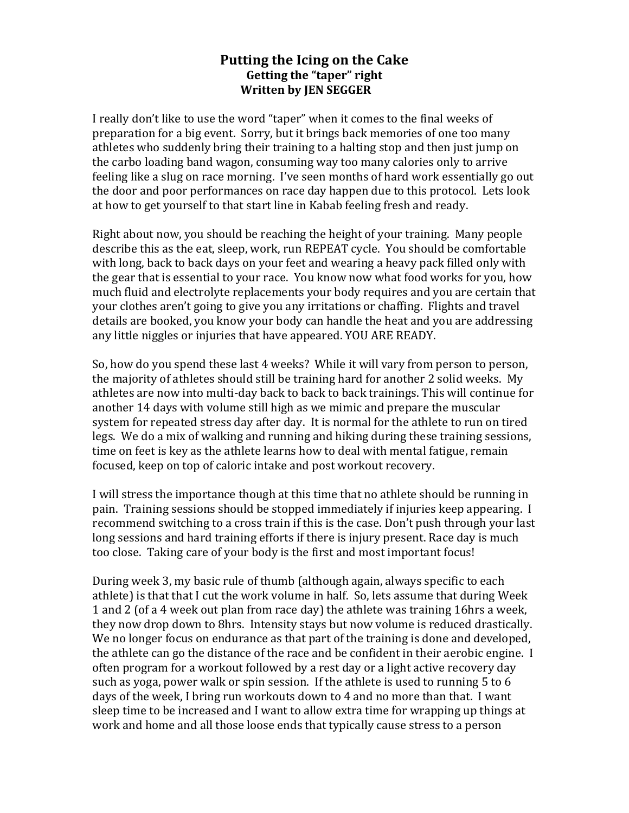## Putting the Icing on the Cake Getting the "taper" right **Written'by'JEN'SEGGER**

I really don't like to use the word "taper" when it comes to the final weeks of preparation for a big event. Sorry, but it brings back memories of one too many athletes who suddenly bring their training to a halting stop and then just jump on the carbo loading band wagon, consuming way too many calories only to arrive feeling like a slug on race morning. I've seen months of hard work essentially go out the door and poor performances on race day happen due to this protocol. Lets look at how to get yourself to that start line in Kabab feeling fresh and ready.

Right about now, you should be reaching the height of your training. Many people describe this as the eat, sleep, work, run REPEAT cycle. You should be comfortable with long, back to back days on your feet and wearing a heavy pack filled only with the gear that is essential to your race. You know now what food works for you, how much fluid and electrolyte replacements your body requires and you are certain that your clothes aren't going to give you any irritations or chaffing. Flights and travel details are booked, you know your body can handle the heat and you are addressing any little niggles or injuries that have appeared. YOU ARE READY.

So, how do you spend these last 4 weeks? While it will vary from person to person, the majority of athletes should still be training hard for another 2 solid weeks. My athletes are now into multi-day back to back to back trainings. This will continue for another 14 days with volume still high as we mimic and prepare the muscular system for repeated stress day after day. It is normal for the athlete to run on tired legs. We do a mix of walking and running and hiking during these training sessions, time on feet is key as the athlete learns how to deal with mental fatigue, remain focused, keep on top of caloric intake and post workout recovery.

I will stress the importance though at this time that no athlete should be running in pain. Training sessions should be stopped immediately if injuries keep appearing. I recommend switching to a cross train if this is the case. Don't push through your last long sessions and hard training efforts if there is injury present. Race day is much too close. Taking care of your body is the first and most important focus!

During week 3, my basic rule of thumb (although again, always specific to each athlete) is that that I cut the work volume in half. So, lets assume that during Week 1 and 2 (of a 4 week out plan from race day) the athlete was training 16hrs a week, they now drop down to 8hrs. Intensity stays but now volume is reduced drastically. We no longer focus on endurance as that part of the training is done and developed, the athlete can go the distance of the race and be confident in their aerobic engine. I often program for a workout followed by a rest day or a light active recovery day such as yoga, power walk or spin session. If the athlete is used to running  $5$  to 6 days of the week. I bring run workouts down to 4 and no more than that. I want sleep time to be increased and I want to allow extra time for wrapping up things at work and home and all those loose ends that typically cause stress to a person